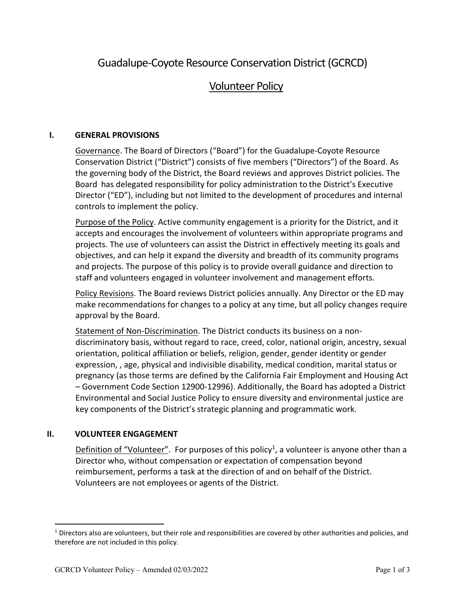# Guadalupe-Coyote Resource Conservation District (GCRCD)

## Volunteer Policy

### **I. GENERAL PROVISIONS**

Governance. The Board of Directors ("Board") for the Guadalupe-Coyote Resource Conservation District ("District") consists of five members ("Directors") of the Board. As the governing body of the District, the Board reviews and approves District policies. The Board has delegated responsibility for policy administration to the District's Executive Director ("ED"), including but not limited to the development of procedures and internal controls to implement the policy.

Purpose of the Policy. Active community engagement is a priority for the District, and it accepts and encourages the involvement of volunteers within appropriate programs and projects. The use of volunteers can assist the District in effectively meeting its goals and objectives, and can help it expand the diversity and breadth of its community programs and projects. The purpose of this policy is to provide overall guidance and direction to staff and volunteers engaged in volunteer involvement and management efforts.

Policy Revisions. The Board reviews District policies annually. Any Director or the ED may make recommendations for changes to a policy at any time, but all policy changes require approval by the Board.

Statement of Non-Discrimination. The District conducts its business on a nondiscriminatory basis, without regard to race, creed, color, national origin, ancestry, sexual orientation, political affiliation or beliefs, religion, gender, gender identity or gender expression, , age, physical and indivisible disability, medical condition, marital status or pregnancy (as those terms are defined by the California Fair Employment and Housing Act – Government Code Section 12900-12996). Additionally, the Board has adopted a District Environmental and Social Justice Policy to ensure diversity and environmental justice are key components of the District's strategic planning and programmatic work.

## **II. VOLUNTEER ENGAGEMENT**

Definition of "Volunteer". For purposes of this policy<sup>1</sup>, a volunteer is anyone other than a Director who, without compensation or expectation of compensation beyond reimbursement, performs a task at the direction of and on behalf of the District. Volunteers are not employees or agents of the District.

 $1$  Directors also are volunteers, but their role and responsibilities are covered by other authorities and policies, and therefore are not included in this policy.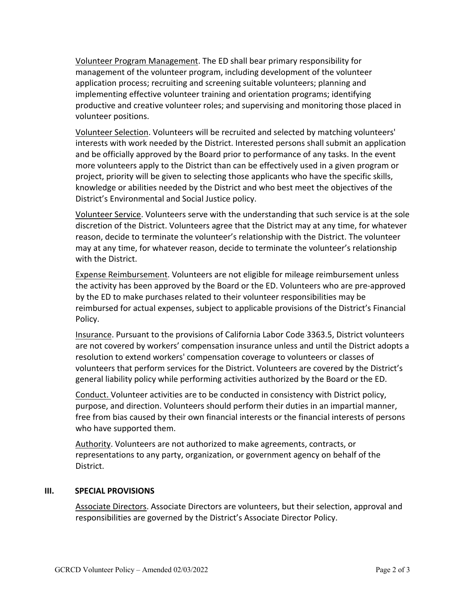Volunteer Program Management. The ED shall bear primary responsibility for management of the volunteer program, including development of the volunteer application process; recruiting and screening suitable volunteers; planning and implementing effective volunteer training and orientation programs; identifying productive and creative volunteer roles; and supervising and monitoring those placed in volunteer positions.

Volunteer Selection. Volunteers will be recruited and selected by matching volunteers' interests with work needed by the District. Interested persons shall submit an application and be officially approved by the Board prior to performance of any tasks. In the event more volunteers apply to the District than can be effectively used in a given program or project, priority will be given to selecting those applicants who have the specific skills, knowledge or abilities needed by the District and who best meet the objectives of the District's Environmental and Social Justice policy.

Volunteer Service. Volunteers serve with the understanding that such service is at the sole discretion of the District. Volunteers agree that the District may at any time, for whatever reason, decide to terminate the volunteer's relationship with the District. The volunteer may at any time, for whatever reason, decide to terminate the volunteer's relationship with the District.

Expense Reimbursement. Volunteers are not eligible for mileage reimbursement unless the activity has been approved by the Board or the ED. Volunteers who are pre-approved by the ED to make purchases related to their volunteer responsibilities may be reimbursed for actual expenses, subject to applicable provisions of the District's Financial Policy.

Insurance. Pursuant to the provisions of California Labor Code 3363.5, District volunteers are not covered by workers' compensation insurance unless and until the District adopts a resolution to extend workers' compensation coverage to volunteers or classes of volunteers that perform services for the District. Volunteers are covered by the District's general liability policy while performing activities authorized by the Board or the ED.

Conduct. Volunteer activities are to be conducted in consistency with District policy, purpose, and direction. Volunteers should perform their duties in an impartial manner, free from bias caused by their own financial interests or the financial interests of persons who have supported them.

Authority. Volunteers are not authorized to make agreements, contracts, or representations to any party, organization, or government agency on behalf of the District.

#### **III. SPECIAL PROVISIONS**

Associate Directors. Associate Directors are volunteers, but their selection, approval and responsibilities are governed by the District's Associate Director Policy.